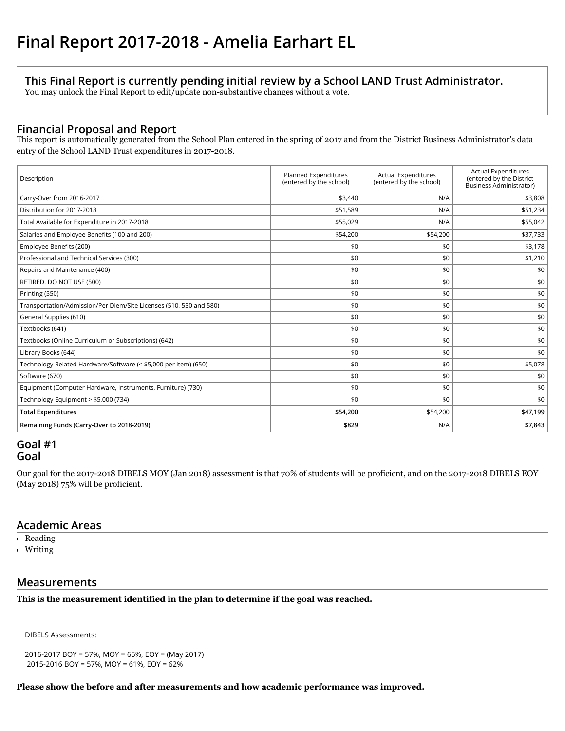## **This Final Report is currently pending initial review by a School LAND Trust Administrator.**

You may unlock the Final Report to edit/update non-substantive changes without a vote.

## **Financial Proposal and Report**

This report is automatically generated from the School Plan entered in the spring of 2017 and from the District Business Administrator's data entry of the School LAND Trust expenditures in 2017-2018.

| Description                                                        | Planned Expenditures<br>(entered by the school) | <b>Actual Expenditures</b><br>(entered by the school) | <b>Actual Expenditures</b><br>(entered by the District<br>Business Administrator) |
|--------------------------------------------------------------------|-------------------------------------------------|-------------------------------------------------------|-----------------------------------------------------------------------------------|
| Carry-Over from 2016-2017                                          | \$3,440                                         | N/A                                                   | \$3,808                                                                           |
| Distribution for 2017-2018                                         | \$51,589                                        | N/A                                                   | \$51,234                                                                          |
| Total Available for Expenditure in 2017-2018                       | \$55,029                                        | N/A                                                   | \$55,042                                                                          |
| Salaries and Employee Benefits (100 and 200)                       | \$54,200                                        | \$54,200                                              | \$37,733                                                                          |
| Employee Benefits (200)                                            | \$0                                             | \$0                                                   | \$3,178                                                                           |
| Professional and Technical Services (300)                          | \$0                                             | \$0                                                   | \$1,210                                                                           |
| Repairs and Maintenance (400)                                      | \$0                                             | \$0                                                   | \$0                                                                               |
| RETIRED. DO NOT USE (500)                                          | \$0                                             | \$0                                                   | \$0                                                                               |
| Printing (550)                                                     | \$0                                             | \$0                                                   | \$0                                                                               |
| Transportation/Admission/Per Diem/Site Licenses (510, 530 and 580) | \$0                                             | \$0                                                   | \$0                                                                               |
| General Supplies (610)                                             | \$0                                             | \$0                                                   | \$0                                                                               |
| Textbooks (641)                                                    | \$0                                             | \$0                                                   | \$0                                                                               |
| Textbooks (Online Curriculum or Subscriptions) (642)               | \$0                                             | \$0                                                   | \$0                                                                               |
| Library Books (644)                                                | \$0                                             | \$0                                                   | \$0                                                                               |
| Technology Related Hardware/Software (< \$5,000 per item) (650)    | \$0                                             | \$0                                                   | \$5,078                                                                           |
| Software (670)                                                     | \$0                                             | \$0                                                   | \$0                                                                               |
| Equipment (Computer Hardware, Instruments, Furniture) (730)        | \$0                                             | \$0                                                   | \$0                                                                               |
| Technology Equipment > \$5,000 (734)                               | \$0                                             | \$0                                                   | \$0                                                                               |
| <b>Total Expenditures</b>                                          | \$54,200                                        | \$54,200                                              | \$47,199                                                                          |
| Remaining Funds (Carry-Over to 2018-2019)                          | \$829                                           | N/A                                                   | \$7,843                                                                           |

## **Goal #1 Goal**

Our goal for the 2017-2018 DIBELS MOY (Jan 2018) assessment is that 70% of students will be proficient, and on the 2017-2018 DIBELS EOY (May 2018) 75% will be proficient.

## **Academic Areas**

- Reading
- Writing

## **Measurements**

**This is the measurement identified in the plan to determine if the goal was reached.**

DIBELS Assessments:

2016-2017 BOY = 57%, MOY = 65%, EOY = (May 2017) 2015-2016 BOY = 57%, MOY = 61%, EOY = 62%

#### **Please show the before and after measurements and how academic performance was improved.**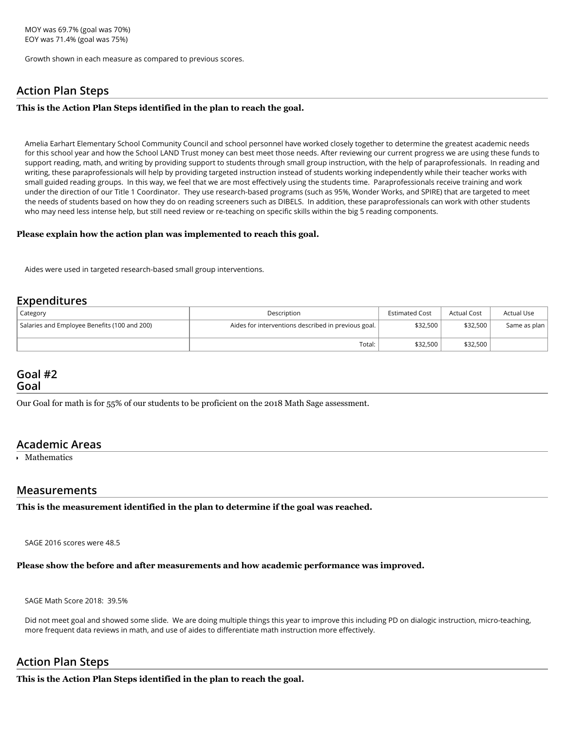Growth shown in each measure as compared to previous scores.

## **Action Plan Steps**

#### **This is the Action Plan Steps identified in the plan to reach the goal.**

Amelia Earhart Elementary School Community Council and school personnel have worked closely together to determine the greatest academic needs for this school year and how the School LAND Trust money can best meet those needs. After reviewing our current progress we are using these funds to support reading, math, and writing by providing support to students through small group instruction, with the help of paraprofessionals. In reading and writing, these paraprofessionals will help by providing targeted instruction instead of students working independently while their teacher works with small guided reading groups. In this way, we feel that we are most effectively using the students time. Paraprofessionals receive training and work under the direction of our Title 1 Coordinator. They use research-based programs (such as 95%, Wonder Works, and SPIRE) that are targeted to meet the needs of students based on how they do on reading screeners such as DIBELS. In addition, these paraprofessionals can work with other students who may need less intense help, but still need review or re-teaching on specific skills within the big 5 reading components.

#### **Please explain how the action plan was implemented to reach this goal.**

Aides were used in targeted research-based small group interventions.

## **Expenditures**

| Category                                     | Description                                         | <b>Estimated Cost</b> | <b>Actual Cost</b> | Actual Use   |
|----------------------------------------------|-----------------------------------------------------|-----------------------|--------------------|--------------|
| Salaries and Employee Benefits (100 and 200) | Aides for interventions described in previous goal. | \$32,500              | \$32,500           | Same as plan |
|                                              | Total:                                              | \$32,500              | \$32,500           |              |

# **Goal #2**

**Goal**

Our Goal for math is for 55% of our students to be proficient on the 2018 Math Sage assessment.

## **Academic Areas**

Mathematics

#### **Measurements**

**This is the measurement identified in the plan to determine if the goal was reached.**

SAGE 2016 scores were 48.5

#### **Please show the before and after measurements and how academic performance was improved.**

SAGE Math Score 2018: 39.5%

Did not meet goal and showed some slide. We are doing multiple things this year to improve this including PD on dialogic instruction, micro-teaching, more frequent data reviews in math, and use of aides to differentiate math instruction more effectively.

## **Action Plan Steps**

**This is the Action Plan Steps identified in the plan to reach the goal.**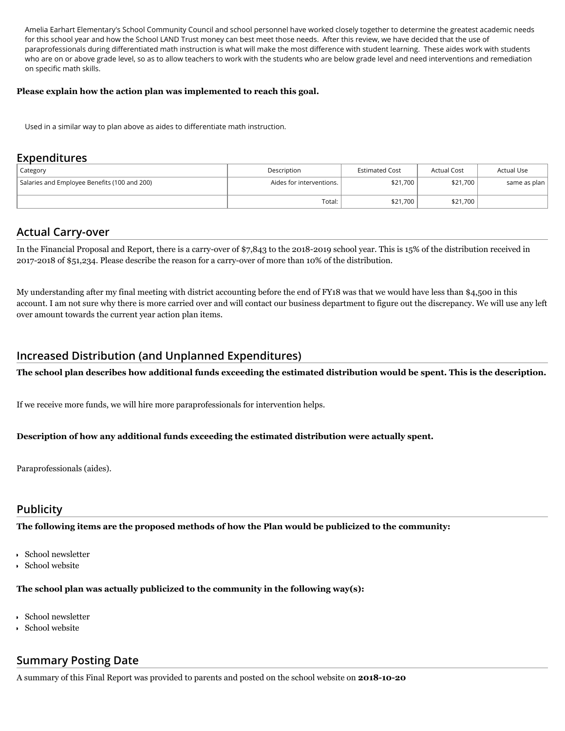Amelia Earhart Elementary's School Community Council and school personnel have worked closely together to determine the greatest academic needs for this school year and how the School LAND Trust money can best meet those needs. After this review, we have decided that the use of paraprofessionals during differentiated math instruction is what will make the most difference with student learning. These aides work with students who are on or above grade level, so as to allow teachers to work with the students who are below grade level and need interventions and remediation on specific math skills.

#### **Please explain how the action plan was implemented to reach this goal.**

Used in a similar way to plan above as aides to differentiate math instruction.

#### **Expenditures**

| Category                                     | Description                | <b>Estimated Cost</b> | <b>Actual Cost</b> | <b>Actual Use</b> |
|----------------------------------------------|----------------------------|-----------------------|--------------------|-------------------|
| Salaries and Employee Benefits (100 and 200) | Aides for interventions. I | \$21,700              | \$21,700           | same as plan      |
|                                              | Total:                     | \$21,700              | \$21,700           |                   |

## **Actual Carry-over**

In the Financial Proposal and Report, there is a carry-over of \$7,843 to the 2018-2019 school year. This is 15% of the distribution received in 20172018 of \$51,234. Please describe the reason for a carryover of more than 10% of the distribution.

My understanding after my final meeting with district accounting before the end of FY18 was that we would have less than \$4,500 in this account. I am not sure why there is more carried over and will contact our business department to figure out the discrepancy. We will use any left over amount towards the current year action plan items.

## **Increased Distribution (and Unplanned Expenditures)**

**The school plan describes how additional funds exceeding the estimated distribution would be spent. This is the description.**

If we receive more funds, we will hire more paraprofessionals for intervention helps.

#### **Description of how any additional funds exceeding the estimated distribution were actually spent.**

Paraprofessionals (aides).

#### **Publicity**

**The following items are the proposed methods of how the Plan would be publicized to the community:**

- School newsletter
- School website

#### **The school plan was actually publicized to the community in the following way(s):**

- School newsletter
- School website

## **Summary Posting Date**

A summary of this Final Report was provided to parents and posted on the school website on **20181020**